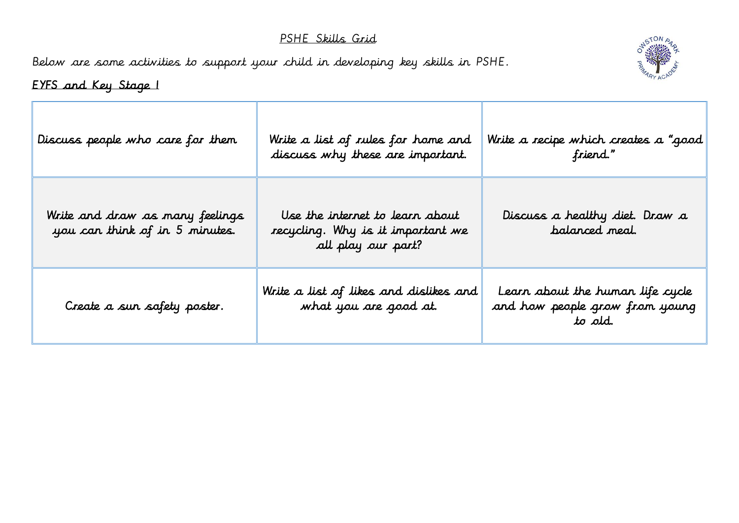## PSHE Skills Grid

Below are some activities to support your child in developing key skills in PSHE.



## EYFS and Key Stage 1

| Discuss people who care for them                                  | Write a list of rules for home and<br>discuss why these are important.                     | Write a recipe which creates a "good $\parallel$<br>friend."                  |
|-------------------------------------------------------------------|--------------------------------------------------------------------------------------------|-------------------------------------------------------------------------------|
| Write and draw as many feelings<br>you can think of in 5 minutes. | Use the internet to learn about<br>recycling. Why is it important we<br>all play our part? | Discuss a healthy diet. Draw a<br>balanced meal.                              |
| Create a sun safety poster.                                       | Write a list of likes and dislikes and<br>what you are good at.                            | Learn about the human life cycle<br>and how people grow from young<br>to old. |